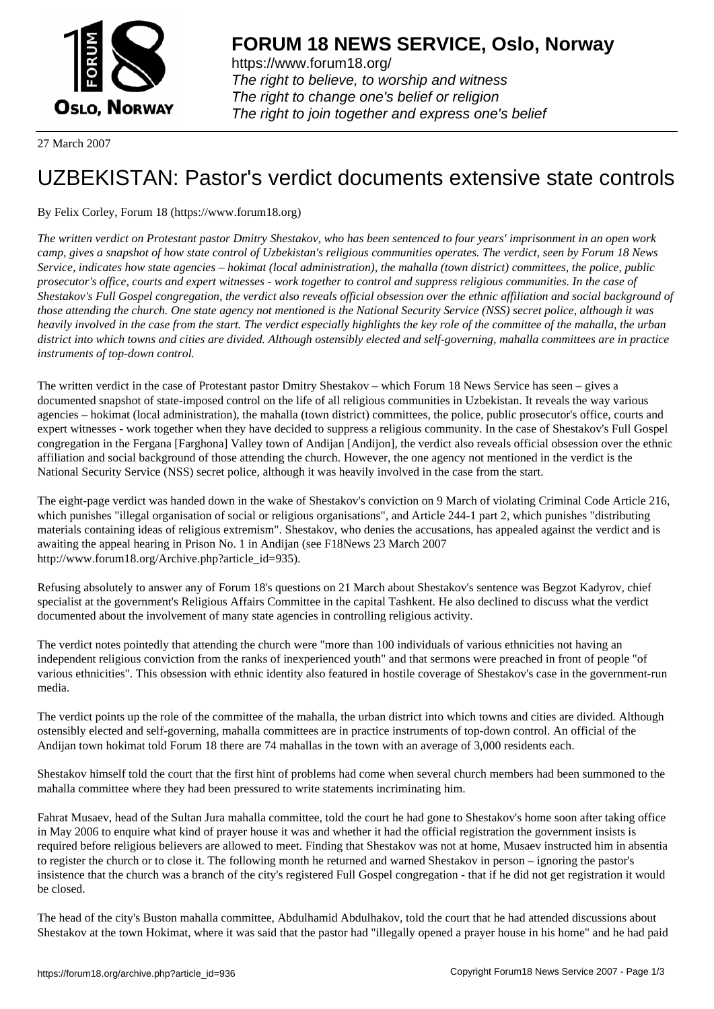

https://www.forum18.org/ The right to believe, to worship and witness The right to change one's belief or religion [The right to join together a](https://www.forum18.org/)nd express one's belief

27 March 2007

## [UZBEKISTAN:](https://www.forum18.org) Pastor's verdict documents extensive state controls

By Felix Corley, Forum 18 (https://www.forum18.org)

*The written verdict on Protestant pastor Dmitry Shestakov, who has been sentenced to four years' imprisonment in an open work camp, gives a snapshot of how state control of Uzbekistan's religious communities operates. The verdict, seen by Forum 18 News Service, indicates how state agencies – hokimat (local administration), the mahalla (town district) committees, the police, public prosecutor's office, courts and expert witnesses - work together to control and suppress religious communities. In the case of Shestakov's Full Gospel congregation, the verdict also reveals official obsession over the ethnic affiliation and social background of those attending the church. One state agency not mentioned is the National Security Service (NSS) secret police, although it was heavily involved in the case from the start. The verdict especially highlights the key role of the committee of the mahalla, the urban district into which towns and cities are divided. Although ostensibly elected and self-governing, mahalla committees are in practice instruments of top-down control.*

The written verdict in the case of Protestant pastor Dmitry Shestakov – which Forum 18 News Service has seen – gives a documented snapshot of state-imposed control on the life of all religious communities in Uzbekistan. It reveals the way various agencies – hokimat (local administration), the mahalla (town district) committees, the police, public prosecutor's office, courts and expert witnesses - work together when they have decided to suppress a religious community. In the case of Shestakov's Full Gospel congregation in the Fergana [Farghona] Valley town of Andijan [Andijon], the verdict also reveals official obsession over the ethnic affiliation and social background of those attending the church. However, the one agency not mentioned in the verdict is the National Security Service (NSS) secret police, although it was heavily involved in the case from the start.

The eight-page verdict was handed down in the wake of Shestakov's conviction on 9 March of violating Criminal Code Article 216, which punishes "illegal organisation of social or religious organisations", and Article 244-1 part 2, which punishes "distributing materials containing ideas of religious extremism". Shestakov, who denies the accusations, has appealed against the verdict and is awaiting the appeal hearing in Prison No. 1 in Andijan (see F18News 23 March 2007 http://www.forum18.org/Archive.php?article\_id=935).

Refusing absolutely to answer any of Forum 18's questions on 21 March about Shestakov's sentence was Begzot Kadyrov, chief specialist at the government's Religious Affairs Committee in the capital Tashkent. He also declined to discuss what the verdict documented about the involvement of many state agencies in controlling religious activity.

The verdict notes pointedly that attending the church were "more than 100 individuals of various ethnicities not having an independent religious conviction from the ranks of inexperienced youth" and that sermons were preached in front of people "of various ethnicities". This obsession with ethnic identity also featured in hostile coverage of Shestakov's case in the government-run media.

The verdict points up the role of the committee of the mahalla, the urban district into which towns and cities are divided. Although ostensibly elected and self-governing, mahalla committees are in practice instruments of top-down control. An official of the Andijan town hokimat told Forum 18 there are 74 mahallas in the town with an average of 3,000 residents each.

Shestakov himself told the court that the first hint of problems had come when several church members had been summoned to the mahalla committee where they had been pressured to write statements incriminating him.

Fahrat Musaev, head of the Sultan Jura mahalla committee, told the court he had gone to Shestakov's home soon after taking office in May 2006 to enquire what kind of prayer house it was and whether it had the official registration the government insists is required before religious believers are allowed to meet. Finding that Shestakov was not at home, Musaev instructed him in absentia to register the church or to close it. The following month he returned and warned Shestakov in person – ignoring the pastor's insistence that the church was a branch of the city's registered Full Gospel congregation - that if he did not get registration it would be closed.

The head of the city's Buston mahalla committee, Abdulhamid Abdulhakov, told the court that he had attended discussions about Shestakov at the town Hokimat, where it was said that the pastor had "illegally opened a prayer house in his home" and he had paid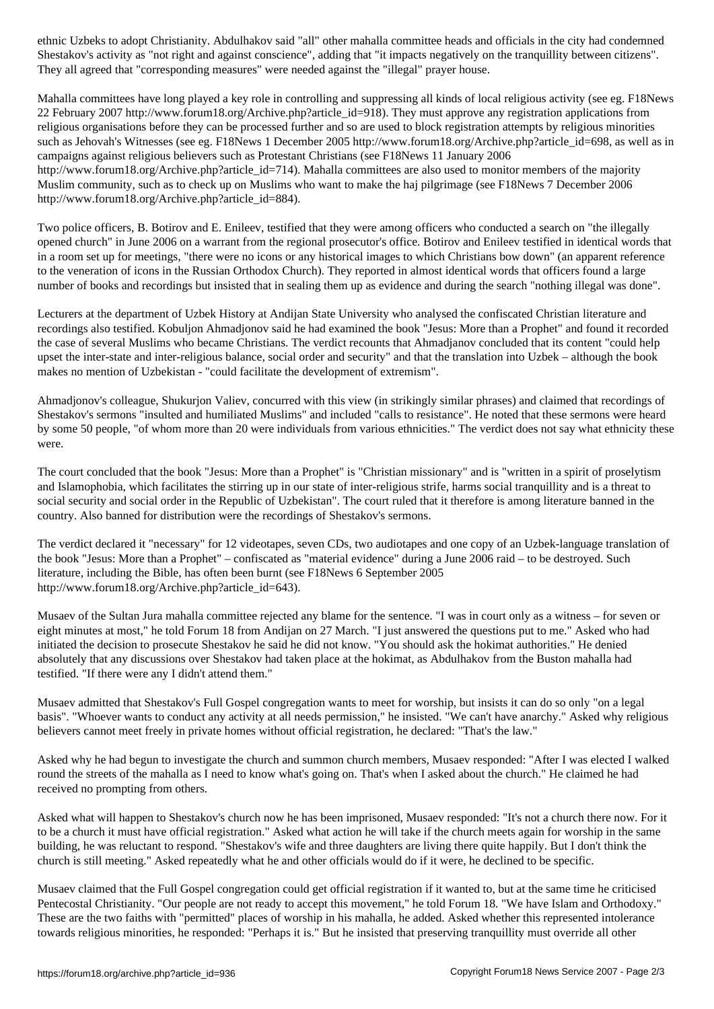Shestakov's activity as "not right and against conscience", adding that "it impacts negatively on the tranquillity between citizens". They all agreed that "corresponding measures" were needed against the "illegal" prayer house.

Mahalla committees have long played a key role in controlling and suppressing all kinds of local religious activity (see eg. F18News 22 February 2007 http://www.forum18.org/Archive.php?article\_id=918). They must approve any registration applications from religious organisations before they can be processed further and so are used to block registration attempts by religious minorities such as Jehovah's Witnesses (see eg. F18News 1 December 2005 http://www.forum18.org/Archive.php?article\_id=698, as well as in campaigns against religious believers such as Protestant Christians (see F18News 11 January 2006 http://www.forum18.org/Archive.php?article\_id=714). Mahalla committees are also used to monitor members of the majority Muslim community, such as to check up on Muslims who want to make the haj pilgrimage (see F18News 7 December 2006 http://www.forum18.org/Archive.php?article\_id=884).

Two police officers, B. Botirov and E. Enileev, testified that they were among officers who conducted a search on "the illegally opened church" in June 2006 on a warrant from the regional prosecutor's office. Botirov and Enileev testified in identical words that in a room set up for meetings, "there were no icons or any historical images to which Christians bow down" (an apparent reference to the veneration of icons in the Russian Orthodox Church). They reported in almost identical words that officers found a large number of books and recordings but insisted that in sealing them up as evidence and during the search "nothing illegal was done".

Lecturers at the department of Uzbek History at Andijan State University who analysed the confiscated Christian literature and recordings also testified. Kobuljon Ahmadjonov said he had examined the book "Jesus: More than a Prophet" and found it recorded the case of several Muslims who became Christians. The verdict recounts that Ahmadjanov concluded that its content "could help upset the inter-state and inter-religious balance, social order and security" and that the translation into Uzbek – although the book makes no mention of Uzbekistan - "could facilitate the development of extremism".

Ahmadjonov's colleague, Shukurjon Valiev, concurred with this view (in strikingly similar phrases) and claimed that recordings of Shestakov's sermons "insulted and humiliated Muslims" and included "calls to resistance". He noted that these sermons were heard by some 50 people, "of whom more than 20 were individuals from various ethnicities." The verdict does not say what ethnicity these were.

The court concluded that the book "Jesus: More than a Prophet" is "Christian missionary" and is "written in a spirit of proselytism and Islamophobia, which facilitates the stirring up in our state of inter-religious strife, harms social tranquillity and is a threat to social security and social order in the Republic of Uzbekistan". The court ruled that it therefore is among literature banned in the country. Also banned for distribution were the recordings of Shestakov's sermons.

The verdict declared it "necessary" for 12 videotapes, seven CDs, two audiotapes and one copy of an Uzbek-language translation of the book "Jesus: More than a Prophet" – confiscated as "material evidence" during a June 2006 raid – to be destroyed. Such literature, including the Bible, has often been burnt (see F18News 6 September 2005 http://www.forum18.org/Archive.php?article\_id=643).

Musaev of the Sultan Jura mahalla committee rejected any blame for the sentence. "I was in court only as a witness – for seven or eight minutes at most," he told Forum 18 from Andijan on 27 March. "I just answered the questions put to me." Asked who had initiated the decision to prosecute Shestakov he said he did not know. "You should ask the hokimat authorities." He denied absolutely that any discussions over Shestakov had taken place at the hokimat, as Abdulhakov from the Buston mahalla had testified. "If there were any I didn't attend them."

Musaev admitted that Shestakov's Full Gospel congregation wants to meet for worship, but insists it can do so only "on a legal basis". "Whoever wants to conduct any activity at all needs permission," he insisted. "We can't have anarchy." Asked why religious believers cannot meet freely in private homes without official registration, he declared: "That's the law."

Asked why he had begun to investigate the church and summon church members, Musaev responded: "After I was elected I walked round the streets of the mahalla as I need to know what's going on. That's when I asked about the church." He claimed he had received no prompting from others.

Asked what will happen to Shestakov's church now he has been imprisoned, Musaev responded: "It's not a church there now. For it to be a church it must have official registration." Asked what action he will take if the church meets again for worship in the same building, he was reluctant to respond. "Shestakov's wife and three daughters are living there quite happily. But I don't think the church is still meeting." Asked repeatedly what he and other officials would do if it were, he declined to be specific.

Musaev claimed that the Full Gospel congregation could get official registration if it wanted to, but at the same time he criticised Pentecostal Christianity. "Our people are not ready to accept this movement," he told Forum 18. "We have Islam and Orthodoxy." These are the two faiths with "permitted" places of worship in his mahalla, he added. Asked whether this represented intolerance towards religious minorities, he responded: "Perhaps it is." But he insisted that preserving tranquillity must override all other